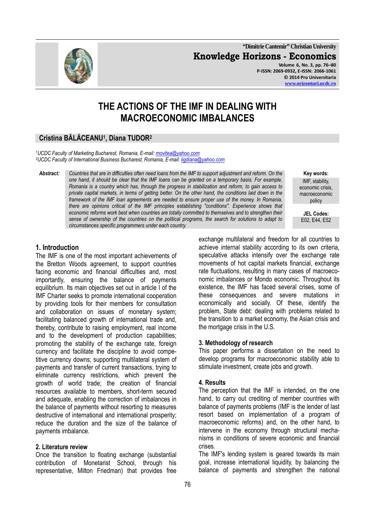**"Dimitrie Cantemir" Christian University Knowledge Horizons - Economics Volume 6, No. 3, pp. 76–80 P-ISSN: 2069-0932, E-ISSN: 2066-1061 © 2014 Pro Universitaria** 

# **THE ACTIONS OF THE IMF IN DEALING WITH MACROECONOMIC IMBALANCES**

## **Cristina BĂLĂCEANU<sup>1</sup> , Diana TUDOR<sup>2</sup>**

*<sup>1</sup>UCDC Faculty of Marketing Bucharest, Romania, E-mail: movitea@yahoo.com <sup>2</sup>UCDC Faculty of International Business Bucharest, Romania, E-mail: ligdiana@yahoo.com*

*Abstract: Countries that are in difficulties often need loans from the IMF to support adjustment and reform. On the one hand, it should be clear that the IMF loans can be granted on a temporary basis. For example, Romania is a country which has, through the progress in stabilization and reform, to gain access to private capital markets, in terms of getting better. On the other hand, the conditions laid down in the framework of the IMF loan agreements are needed to ensure proper use of the money. In Romania, there are opinions critical of the IMF principles establishing "conditions". Experience shows that economic reforms work best when countries are totally committed to themselves and to strengthen their sense of ownership of the countries on the political programs, the search for solutions to adapt to circumstances specific programmers under each country.*

**Key words:** IMF, stability, economic crisis, macroeconomic policy

**JEL Codes:**  E02, E44, E52

## **1. Introduction**

The IMF is one of the most important achievements of the Bretton Woods agreement, to support countries facing economic and financial difficulties and, most importantly, ensuring the balance of payments equilibrium. Its main objectives set out in article I of the IMF Charter seeks to promote international cooperation by providing tools for their members for consultation and collaboration on issues of monetary system; facilitating balanced growth of international trade and, thereby, contribute to raising employment, real income and to the development of production capabilities; promoting the stability of the exchange rate, foreign currency and facilitate the discipline to avoid competitive currency downs; supporting multilateral system of payments and transfer of current transactions, trying to eliminate currency restrictions, which prevent the growth of world trade; the creation of financial resources available to members, short-term secured and adequate, enabling the correction of imbalances in the balance of payments without resorting to measures destructive of international and international prosperity; reduce the duration and the size of the balance of payments imbalance.

### **2. Literature review**

Once the transition to floating exchange (substantial contribution of Monetarist School, through his representative, Milton Friedman) that provides free exchange multilateral and freedom for all countries to achieve internal stability according to its own criteria, speculative attacks intensify over the exchange rate movements of hot capital markets financial, exchange rate fluctuations, resulting in many cases of macroeconomic imbalances or Mondo economic. Throughout its existence, the IMF has faced several crises, some of these consequences and severe mutations in economically and socially. Of these, identify the problem, State debt: dealing with problems related to the transition to a market economy, the Asian crisis and the mortgage crisis in the U.S.

## **3. Methodology of research**

This paper performs a dissertation on the need to develop programs for macroeconomic stability able to stimulate investment, create jobs and growth.

### **4. Results**

The perception that the IMF is intended, on the one hand, to carry out crediting of member countries with balance of payments problems (IMF is the lender of last resort based on implementation of a program of macroeconomic reforms) and, on the other hand, to intervene in the economy through structural mechanisms in conditions of severe economic and financial crises.

The IMF's lending system is geared towards its main goal, increase international liquidity, by balancing the balance of payments and strengthen the national

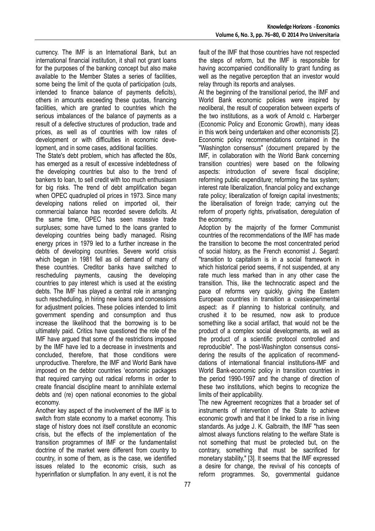currency. The IMF is an International Bank, but an international financial institution, it shall not grant loans for the purposes of the banking concept but also make available to the Member States a series of facilities, some being the limit of the quota of participation (cuts, intended to finance balance of payments deficits), others in amounts exceeding these quotas, financing facilities, which are granted to countries which the serious imbalances of the balance of payments as a result of a defective structures of production, trade and prices, as well as of countries with low rates of development or with difficulties in economic development, and in some cases, additional facilities.

The State's debt problem, which has affected the 80s, has emerged as a result of excessive indebtedness of the developing countries but also to the trend of bankers to loan, to sell credit with too much enthusiasm for big risks. The trend of debt amplification began when OPEC quadrupled oil prices in 1973. Since many developing nations relied on imported oil, their commercial balance has recorded severe deficits. At the same time, OPEC has seen massive trade surpluses; some have turned to the loans granted to developing countries being badly managed. Rising energy prices in 1979 led to a further increase in the debts of developing countries. Severe world crisis which began in 1981 fell as oil demand of many of these countries. Creditor banks have switched to rescheduling payments, causing the developing countries to pay interest which is used at the existing debts. The IMF has played a central role in arranging such rescheduling, in hiring new loans and concessions for adjustment policies. These policies intended to limit government spending and consumption and thus increase the likelihood that the borrowing is to be ultimately paid. Critics have questioned the role of the IMF have argued that some of the restrictions imposed by the IMF have led to a decrease in investments and concluded, therefore, that those conditions were unproductive. Therefore, the IMF and World Bank have imposed on the debtor countries 'economic packages that required carrying out radical reforms in order to create financial discipline meant to annihilate external debts and (re) open national economies to the global economy.

Another key aspect of the involvement of the IMF is to switch from state economy to a market economy. This stage of history does not itself constitute an economic crisis, but the effects of the implementation of the transition programmes of IMF or the fundamentalist doctrine of the market were different from country to country, in some of them, as is the case, we identified issues related to the economic crisis, such as hyperinflation or slumpflation. In any event, it is not the

fault of the IMF that those countries have not respected the steps of reform, but the IMF is responsible for having accompanied conditionality to grant funding as well as the negative perception that an investor would relay through its reports and analyses.

At the beginning of the transitional period, the IMF and World Bank economic policies were inspired by neoliberal, the result of cooperation between experts of the two institutions, as a work of Arnold c. Harberger (Economic Policy and Economic Growth), many ideas in this work being undertaken and other economists [2]. Economic policy recommendations contained in the "Washington consensus" (document prepared by the IMF, in collaboration with the World Bank concerning transition countries) were based on the following aspects: introduction of severe fiscal discipline; reforming public expenditure; reforming the tax system; interest rate liberalization, financial policy and exchange rate policy; liberalization of foreign capital investments; the liberalisation of foreign trade; carrying out the reform of property rights, privatisation, deregulation of the economy.

Adoption by the majority of the former Communist countries of the recommendations of the IMF has made the transition to become the most concentrated period of social history, as the French economist J. Segard: "transition to capitalism is in a social framework in which historical period seems, if not suspended, at any rate much less marked than in any other case the transition. This, like the technocratic aspect and the pace of reforms very quickly, giving the Eastern European countries in transition a cvasiexperimental aspect: as if planning to historical continuity, and crushed it to be resumed, now ask to produce something like a social artifact, that would not be the product of a complex social developments, as well as the product of a scientific protocol controlled and reproducible". The post-Washington consensus considering the results of the application of recommenddations of international financial institutions-IMF and World Bank-economic policy in transition countries in the period 1990-1997 and the change of direction of these two institutions, which begins to recognize the limits of their applicability.

The new Agreement recognizes that a broader set of instruments of intervention of the State to achieve economic growth and that it be linked to a rise in living standards. As judge J. K. Galbraith, the IMF "has seen almost always functions relating to the welfare State is not something that must be protected but, on the contrary, something that must be sacrificed for monetary stability," [3]. It seems that the IMF expressed a desire for change, the revival of his concepts of reform programmes. So, governmental guidance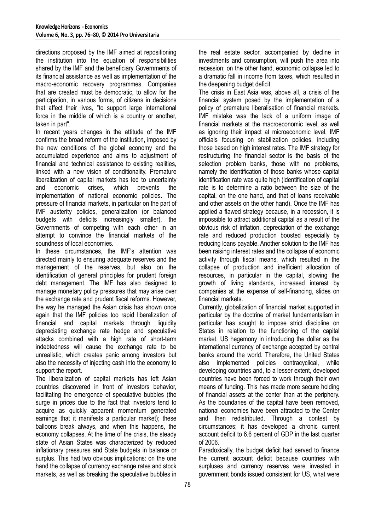directions proposed by the IMF aimed at repositioning the institution into the equation of responsibilities shared by the IMF and the beneficiary Governments of its financial assistance as well as implementation of the macro-economic recovery programmes. Companies that are created must be democratic, to allow for the participation, in various forms, of citizens in decisions that affect their lives, "to support large international force in the middle of which is a country or another, taken in part".

In recent years changes in the attitude of the IMF confirms the broad reform of the institution, imposed by the new conditions of the global economy and the accumulated experience and aims to adjustment of financial and technical assistance to existing realities, linked with a new vision of conditionality. Premature liberalization of capital markets has led to uncertainty and economic crises, which prevents the implementation of national economic policies. The pressure of financial markets, in particular on the part of IMF austerity policies, generalization (or balanced budgets with deficits increasingly smaller), the Governments of competing with each other in an attempt to convince the financial markets of the soundness of local economies.

In these circumstances, the IMF's attention was directed mainly to ensuring adequate reserves and the management of the reserves, but also on the identification of general principles for prudent foreign debt management. The IMF has also designed to manage monetary policy pressures that may arise over the exchange rate and prudent fiscal reforms. However, the way he managed the Asian crisis has shown once again that the IMF policies too rapid liberalization of financial and capital markets through liquidity depreciating exchange rate hedge and speculative attacks combined with a high rate of short-term indebtedness will cause the exchange rate to be unrealistic, which creates panic among investors but also the necessity of injecting cash into the economy to support the report.

The liberalization of capital markets has left Asian countries discovered in front of investors behavior, facilitating the emergence of speculative bubbles (the surge in prices due to the fact that investors tend to acquire as quickly apparent momentum generated earnings that it manifests a particular market); these balloons break always, and when this happens, the economy collapses. At the time of the crisis, the steady state of Asian States was characterized by reduced inflationary pressures and State budgets in balance or surplus. This had two obvious implications: on the one hand the collapse of currency exchange rates and stock markets, as well as breaking the speculative bubbles in

the real estate sector, accompanied by decline in investments and consumption, will push the area into recession; on the other hand, economic collapse led to a dramatic fall in income from taxes, which resulted in the deepening budget deficit.

The crisis in East Asia was, above all, a crisis of the financial system posed by the implementation of a policy of premature liberalisation of financial markets. IMF mistake was the lack of a uniform image of financial markets at the macroeconomic level, as well as ignoring their impact at microeconomic level, IMF officials focusing on stabilization policies, including those based on high interest rates. The IMF strategy for restructuring the financial sector is the basis of the selection problem banks, those with no problems, namely the identification of those banks whose capital identification rate was quite high (identification of capital rate is to determine a ratio between the size of the capital, on the one hand, and that of loans receivable and other assets on the other hand). Once the IMF has applied a flawed strategy because, in a recession, it is impossible to attract additional capital as a result of the obvious risk of inflation, depreciation of the exchange rate and reduced production boosted especially by reducing loans payable. Another solution to the IMF has been raising interest rates and the collapse of economic activity through fiscal means, which resulted in the collapse of production and inefficient allocation of resources, in particular in the capital, slowing the growth of living standards, increased interest by companies at the expense of self-financing, slides on financial markets.

Currently, globalization of financial market supported in particular by the doctrine of market fundamentalism in particular has sought to impose strict discipline on States in relation to the functioning of the capital market, US hegemony in introducing the dollar as the international currency of exchange accepted by central banks around the world. Therefore, the United States also implemented policies contracyclical, while developing countries and, to a lesser extent, developed countries have been forced to work through their own means of funding. This has made more secure holding of financial assets at the center than at the periphery. As the boundaries of the capital have been removed, national economies have been attracted to the Center and then redistributed. Through a contest by circumstances; it has developed a chronic current account deficit to 6.6 percent of GDP in the last quarter of 2006.

Paradoxically, the budget deficit had served to finance the current account deficit because countries with surpluses and currency reserves were invested in government bonds issued consistent for US, what were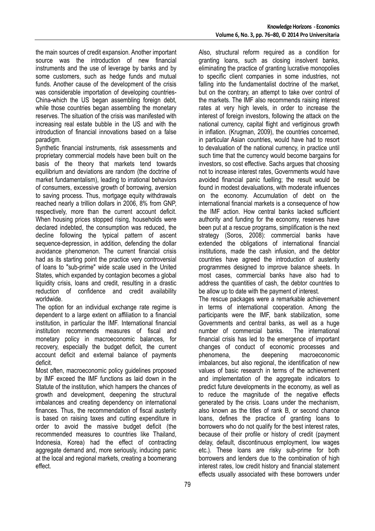the main sources of credit expansion. Another important source was the introduction of new financial instruments and the use of leverage by banks and by some customers, such as hedge funds and mutual funds. Another cause of the development of the crisis was considerable importation of developing countries-China-which the US began assembling foreign debt, while those countries began assembling the monetary reserves. The situation of the crisis was manifested with increasing real estate bubble in the US and with the introduction of financial innovations based on a false paradigm.

Synthetic financial instruments, risk assessments and proprietary commercial models have been built on the basis of the theory that markets tend towards equilibrium and deviations are random (the doctrine of market fundamentalism), leading to irrational behaviors of consumers, excessive growth of borrowing, aversion to saving process. Thus, mortgage equity withdrawals reached nearly a trillion dollars in 2006, 8% from GNP, respectively, more than the current account deficit. When housing prices stopped rising, households were declared indebted, the consumption was reduced, the decline following the typical pattern of ascent sequence-depression, in addition, defending the dollar avoidance phenomenon. The current financial crisis had as its starting point the practice very controversial of loans to "sub-prime" wide scale used in the United States, which expanded by contagion becomes a global liquidity crisis, loans and credit, resulting in a drastic reduction of confidence and credit availability worldwide.

The option for an individual exchange rate regime is dependent to a large extent on affiliation to a financial institution, in particular the IMF. International financial institution recommends measures of fiscal and monetary policy in macroeconomic balances, for recovery, especially the budget deficit, the current account deficit and external balance of payments deficit.

Most often, macroeconomic policy guidelines proposed by IMF exceed the IMF functions as laid down in the Statute of the institution, which hampers the chances of growth and development, deepening the structural imbalances and creating dependency on international finances. Thus, the recommendation of fiscal austerity is based on raising taxes and cutting expenditure in order to avoid the massive budget deficit (the recommended measures to countries like Thailand, Indonesia, Korea) had the effect of contracting aggregate demand and, more seriously, inducing panic at the local and regional markets, creating a boomerang effect.

Also, structural reform required as a condition for granting loans, such as closing insolvent banks, eliminating the practice of granting lucrative monopolies to specific client companies in some industries, not falling into the fundamentalist doctrine of the market, but on the contrary, an attempt to take over control of the markets. The IMF also recommends raising interest rates at very high levels, in order to increase the interest of foreign investors, following the attack on the national currency, capital flight and vertiginous growth in inflation. (Krugman, 2009), the countries concerned, in particular Asian countries, would have had to resort to devaluation of the national currency, in practice until such time that the currency would become bargains for investors, so cost effective. Sachs argues that choosing not to increase interest rates, Governments would have avoided financial panic fuelling; the result would be found in modest devaluations, with moderate influences on the economy. Accumulation of debt on the international financial markets is a consequence of how the IMF action. How central banks lacked sufficient authority and funding for the economy, reserves have been put at a rescue programs, simplification is the next strategy (Soros, 2008): commercial banks have extended the obligations of international financial institutions, made the cash infusion, and the debtor countries have agreed the introduction of austerity programmes designed to improve balance sheets. In most cases, commercial banks have also had to address the quantities of cash, the debtor countries to be allow up to date with the payment of interest.

The rescue packages were a remarkable achievement in terms of international cooperation. Among the participants were the IMF, bank stabilization, some Governments and central banks, as well as a huge number of commercial banks. The international financial crisis has led to the emergence of important changes of conduct of economic processes and phenomena, the deepening macroeconomic imbalances, but also regional, the identification of new values of basic research in terms of the achievement and implementation of the aggregate indicators to predict future developments in the economy, as well as to reduce the magnitude of the negative effects generated by the crisis. Loans under the mechanism, also known as the titles of rank B, or second chance loans, defines the practice of granting loans to borrowers who do not qualify for the best interest rates, because of their profile or history of credit (payment delay, default, discontinuous employment, low wages etc.). These loans are risky sub-prime for both borrowers and lenders due to the combination of high interest rates, low credit history and financial statement effects usually associated with these borrowers under